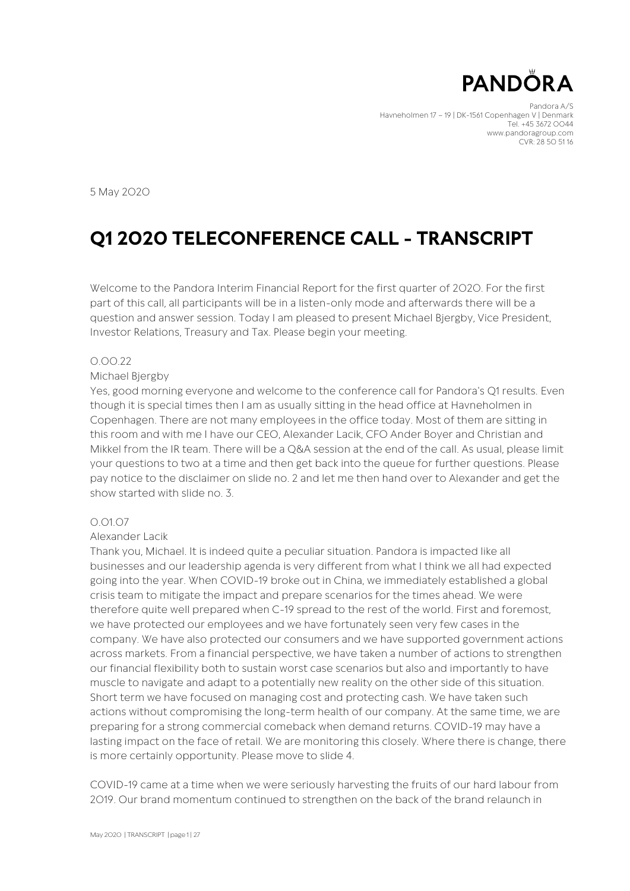

Pandora A/S Havneholmen 17 – 19 | DK-1561 Copenhagen V | Denmark Tel. +45 3672 0044 www.pandoragroup.com CVR: 28 50 51 16

5 May 2020

# **Q1 2020 TELECONFERENCE CALL - TRANSCRIPT**

Welcome to the Pandora Interim Financial Report for the first quarter of 2020. For the first part of this call, all participants will be in a listen-only mode and afterwards there will be a question and answer session. Today I am pleased to present Michael Bjergby, Vice President, Investor Relations, Treasury and Tax. Please begin your meeting.

#### 0.00.22

#### Michael Bjergby

Yes, good morning everyone and welcome to the conference call for Pandora's Q1 results. Even though it is special times then I am as usually sitting in the head office at Havneholmen in Copenhagen. There are not many employees in the office today. Most of them are sitting in this room and with me I have our CEO, Alexander Lacik, CFO Ander Boyer and Christian and Mikkel from the IR team. There will be a Q&A session at the end of the call. As usual, please limit your questions to two at a time and then get back into the queue for further questions. Please pay notice to the disclaimer on slide no. 2 and let me then hand over to Alexander and get the show started with slide no. 3.

### 0.01.07

#### Alexander Lacik

Thank you, Michael. It is indeed quite a peculiar situation. Pandora is impacted like all businesses and our leadership agenda is very different from what I think we all had expected going into the year. When COVID-19 broke out in China, we immediately established a global crisis team to mitigate the impact and prepare scenarios for the times ahead. We were therefore quite well prepared when C-19 spread to the rest of the world. First and foremost, we have protected our employees and we have fortunately seen very few cases in the company. We have also protected our consumers and we have supported government actions across markets. From a financial perspective, we have taken a number of actions to strengthen our financial flexibility both to sustain worst case scenarios but also and importantly to have muscle to navigate and adapt to a potentially new reality on the other side of this situation. Short term we have focused on managing cost and protecting cash. We have taken such actions without compromising the long-term health of our company. At the same time, we are preparing for a strong commercial comeback when demand returns. COVID-19 may have a lasting impact on the face of retail. We are monitoring this closely. Where there is change, there is more certainly opportunity. Please move to slide 4.

COVID-19 came at a time when we were seriously harvesting the fruits of our hard labour from 2019. Our brand momentum continued to strengthen on the back of the brand relaunch in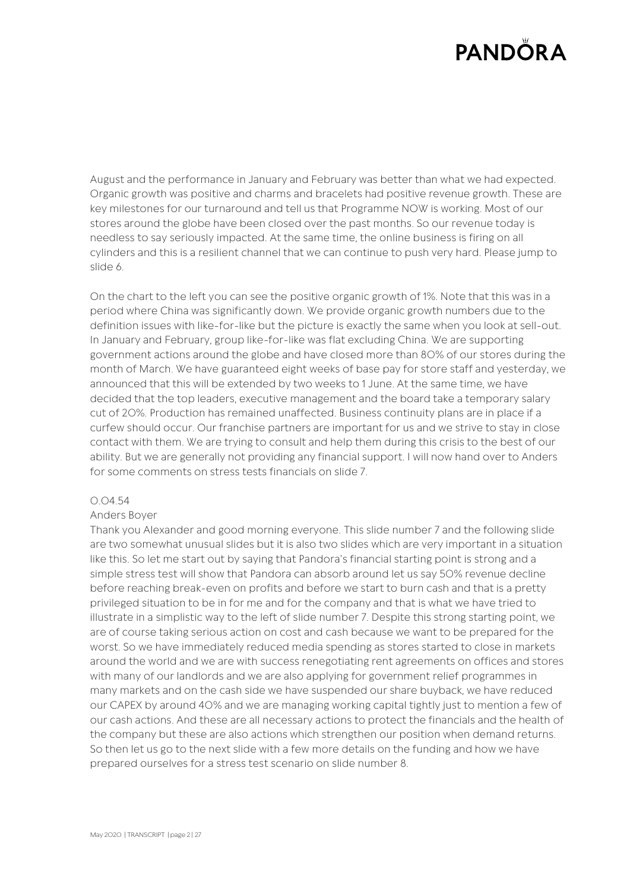August and the performance in January and February was better than what we had expected. Organic growth was positive and charms and bracelets had positive revenue growth. These are key milestones for our turnaround and tell us that Programme NOW is working. Most of our stores around the globe have been closed over the past months. So our revenue today is needless to say seriously impacted. At the same time, the online business is firing on all cylinders and this is a resilient channel that we can continue to push very hard. Please jump to slide 6.

On the chart to the left you can see the positive organic growth of 1%. Note that this was in a period where China was significantly down. We provide organic growth numbers due to the definition issues with like-for-like but the picture is exactly the same when you look at sell-out. In January and February, group like-for-like was flat excluding China. We are supporting government actions around the globe and have closed more than 80% of our stores during the month of March. We have guaranteed eight weeks of base pay for store staff and yesterday, we announced that this will be extended by two weeks to 1 June. At the same time, we have decided that the top leaders, executive management and the board take a temporary salary cut of 20%. Production has remained unaffected. Business continuity plans are in place if a curfew should occur. Our franchise partners are important for us and we strive to stay in close contact with them. We are trying to consult and help them during this crisis to the best of our ability. But we are generally not providing any financial support. I will now hand over to Anders for some comments on stress tests financials on slide 7.

#### 0.04.54

### Anders Boyer

Thank you Alexander and good morning everyone. This slide number 7 and the following slide are two somewhat unusual slides but it is also two slides which are very important in a situation like this. So let me start out by saying that Pandora's financial starting point is strong and a simple stress test will show that Pandora can absorb around let us say 50% revenue decline before reaching break-even on profits and before we start to burn cash and that is a pretty privileged situation to be in for me and for the company and that is what we have tried to illustrate in a simplistic way to the left of slide number 7. Despite this strong starting point, we are of course taking serious action on cost and cash because we want to be prepared for the worst. So we have immediately reduced media spending as stores started to close in markets around the world and we are with success renegotiating rent agreements on offices and stores with many of our landlords and we are also applying for government relief programmes in many markets and on the cash side we have suspended our share buyback, we have reduced our CAPEX by around 40% and we are managing working capital tightly just to mention a few of our cash actions. And these are all necessary actions to protect the financials and the health of the company but these are also actions which strengthen our position when demand returns. So then let us go to the next slide with a few more details on the funding and how we have prepared ourselves for a stress test scenario on slide number 8.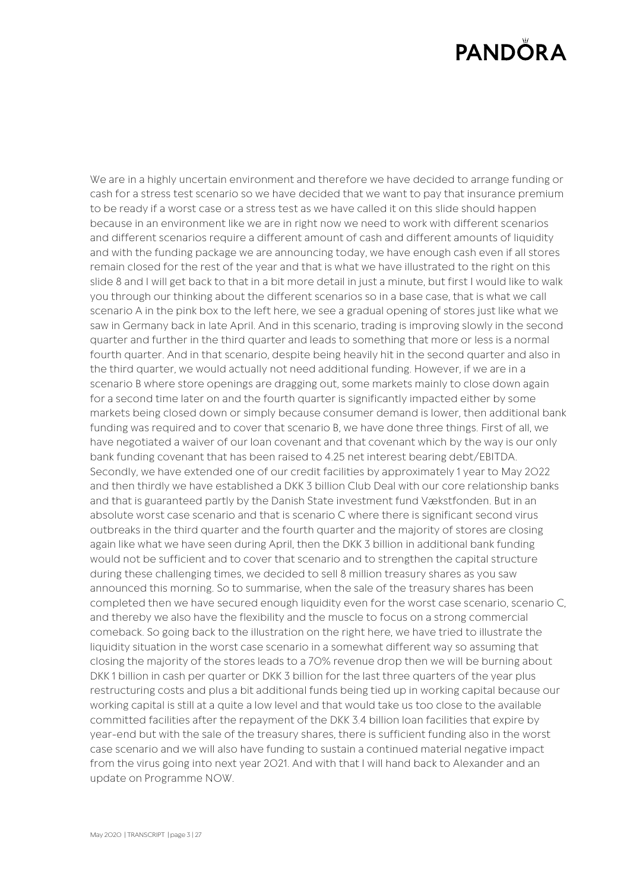We are in a highly uncertain environment and therefore we have decided to arrange funding or cash for a stress test scenario so we have decided that we want to pay that insurance premium to be ready if a worst case or a stress test as we have called it on this slide should happen because in an environment like we are in right now we need to work with different scenarios and different scenarios require a different amount of cash and different amounts of liquidity and with the funding package we are announcing today, we have enough cash even if all stores remain closed for the rest of the year and that is what we have illustrated to the right on this slide 8 and I will get back to that in a bit more detail in just a minute, but first I would like to walk you through our thinking about the different scenarios so in a base case, that is what we call scenario A in the pink box to the left here, we see a gradual opening of stores just like what we saw in Germany back in late April. And in this scenario, trading is improving slowly in the second quarter and further in the third quarter and leads to something that more or less is a normal fourth quarter. And in that scenario, despite being heavily hit in the second quarter and also in the third quarter, we would actually not need additional funding. However, if we are in a scenario B where store openings are dragging out, some markets mainly to close down again for a second time later on and the fourth quarter is significantly impacted either by some markets being closed down or simply because consumer demand is lower, then additional bank funding was required and to cover that scenario B, we have done three things. First of all, we have negotiated a waiver of our loan covenant and that covenant which by the way is our only bank funding covenant that has been raised to 4.25 net interest bearing debt/EBITDA. Secondly, we have extended one of our credit facilities by approximately 1 year to May 2022 and then thirdly we have established a DKK 3 billion Club Deal with our core relationship banks and that is guaranteed partly by the Danish State investment fund Vækstfonden. But in an absolute worst case scenario and that is scenario C where there is significant second virus outbreaks in the third quarter and the fourth quarter and the majority of stores are closing again like what we have seen during April, then the DKK 3 billion in additional bank funding would not be sufficient and to cover that scenario and to strengthen the capital structure during these challenging times, we decided to sell 8 million treasury shares as you saw announced this morning. So to summarise, when the sale of the treasury shares has been completed then we have secured enough liquidity even for the worst case scenario, scenario C, and thereby we also have the flexibility and the muscle to focus on a strong commercial comeback. So going back to the illustration on the right here, we have tried to illustrate the liquidity situation in the worst case scenario in a somewhat different way so assuming that closing the majority of the stores leads to a 70% revenue drop then we will be burning about DKK 1 billion in cash per quarter or DKK 3 billion for the last three quarters of the year plus restructuring costs and plus a bit additional funds being tied up in working capital because our working capital is still at a quite a low level and that would take us too close to the available committed facilities after the repayment of the DKK 3.4 billion loan facilities that expire by year-end but with the sale of the treasury shares, there is sufficient funding also in the worst case scenario and we will also have funding to sustain a continued material negative impact from the virus going into next year 2021. And with that I will hand back to Alexander and an update on Programme NOW.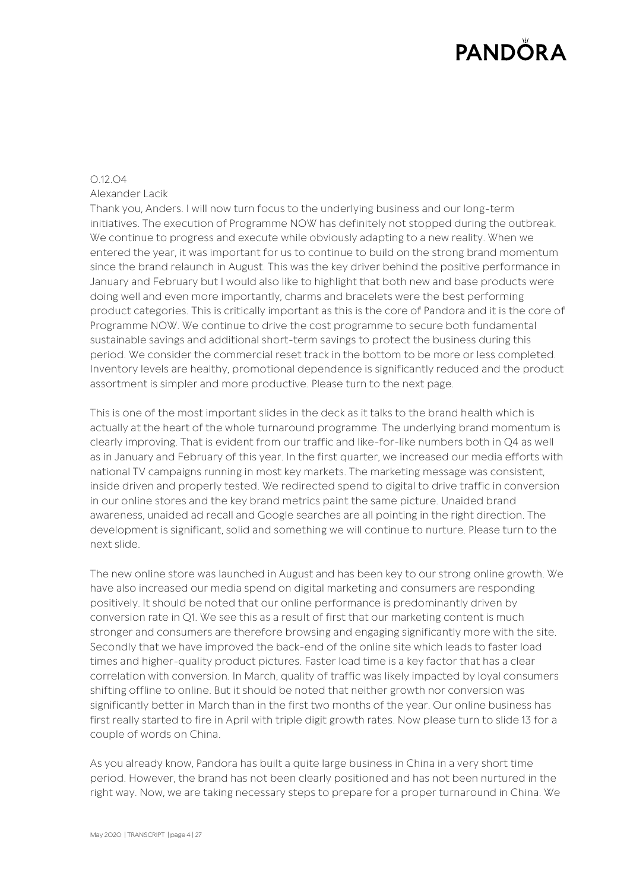# 0.12.04

# Alexander Lacik

Thank you, Anders. I will now turn focus to the underlying business and our long-term initiatives. The execution of Programme NOW has definitely not stopped during the outbreak. We continue to progress and execute while obviously adapting to a new reality. When we entered the year, it was important for us to continue to build on the strong brand momentum since the brand relaunch in August. This was the key driver behind the positive performance in January and February but I would also like to highlight that both new and base products were doing well and even more importantly, charms and bracelets were the best performing product categories. This is critically important as this is the core of Pandora and it is the core of Programme NOW. We continue to drive the cost programme to secure both fundamental sustainable savings and additional short-term savings to protect the business during this period. We consider the commercial reset track in the bottom to be more or less completed. Inventory levels are healthy, promotional dependence is significantly reduced and the product assortment is simpler and more productive. Please turn to the next page.

This is one of the most important slides in the deck as it talks to the brand health which is actually at the heart of the whole turnaround programme. The underlying brand momentum is clearly improving. That is evident from our traffic and like-for-like numbers both in Q4 as well as in January and February of this year. In the first quarter, we increased our media efforts with national TV campaigns running in most key markets. The marketing message was consistent, inside driven and properly tested. We redirected spend to digital to drive traffic in conversion in our online stores and the key brand metrics paint the same picture. Unaided brand awareness, unaided ad recall and Google searches are all pointing in the right direction. The development is significant, solid and something we will continue to nurture. Please turn to the next slide.

The new online store was launched in August and has been key to our strong online growth. We have also increased our media spend on digital marketing and consumers are responding positively. It should be noted that our online performance is predominantly driven by conversion rate in Q1. We see this as a result of first that our marketing content is much stronger and consumers are therefore browsing and engaging significantly more with the site. Secondly that we have improved the back-end of the online site which leads to faster load times and higher-quality product pictures. Faster load time is a key factor that has a clear correlation with conversion. In March, quality of traffic was likely impacted by loyal consumers shifting offline to online. But it should be noted that neither growth nor conversion was significantly better in March than in the first two months of the year. Our online business has first really started to fire in April with triple digit growth rates. Now please turn to slide 13 for a couple of words on China.

As you already know, Pandora has built a quite large business in China in a very short time period. However, the brand has not been clearly positioned and has not been nurtured in the right way. Now, we are taking necessary steps to prepare for a proper turnaround in China. We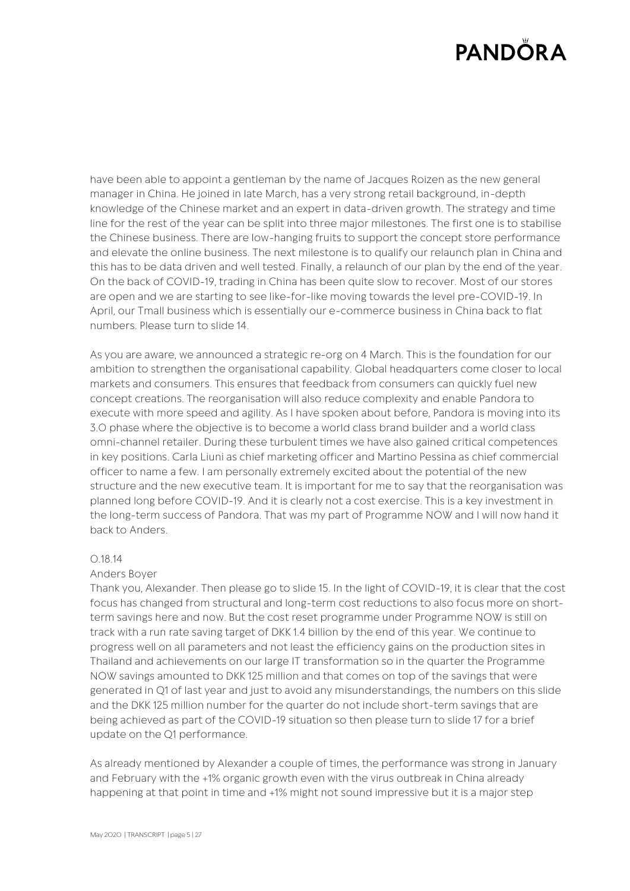have been able to appoint a gentleman by the name of Jacques Roizen as the new general manager in China. He joined in late March, has a very strong retail background, in-depth knowledge of the Chinese market and an expert in data-driven growth. The strategy and time line for the rest of the year can be split into three major milestones. The first one is to stabilise the Chinese business. There are low-hanging fruits to support the concept store performance and elevate the online business. The next milestone is to qualify our relaunch plan in China and this has to be data driven and well tested. Finally, a relaunch of our plan by the end of the year. On the back of COVID-19, trading in China has been quite slow to recover. Most of our stores are open and we are starting to see like-for-like moving towards the level pre-COVID-19. In April, our Tmall business which is essentially our e-commerce business in China back to flat numbers. Please turn to slide 14.

As you are aware, we announced a strategic re-org on 4 March. This is the foundation for our ambition to strengthen the organisational capability. Global headquarters come closer to local markets and consumers. This ensures that feedback from consumers can quickly fuel new concept creations. The reorganisation will also reduce complexity and enable Pandora to execute with more speed and agility. As I have spoken about before, Pandora is moving into its 3.0 phase where the objective is to become a world class brand builder and a world class omni-channel retailer. During these turbulent times we have also gained critical competences in key positions. Carla Liuni as chief marketing officer and Martino Pessina as chief commercial officer to name a few. I am personally extremely excited about the potential of the new structure and the new executive team. It is important for me to say that the reorganisation was planned long before COVID-19. And it is clearly not a cost exercise. This is a key investment in the long-term success of Pandora. That was my part of Programme NOW and I will now hand it back to Anders.

### 0.18.14

### Anders Boyer

Thank you, Alexander. Then please go to slide 15. In the light of COVID-19, it is clear that the cost focus has changed from structural and long-term cost reductions to also focus more on shortterm savings here and now. But the cost reset programme under Programme NOW is still on track with a run rate saving target of DKK 1.4 billion by the end of this year. We continue to progress well on all parameters and not least the efficiency gains on the production sites in Thailand and achievements on our large IT transformation so in the quarter the Programme NOW savings amounted to DKK 125 million and that comes on top of the savings that were generated in Q1 of last year and just to avoid any misunderstandings, the numbers on this slide and the DKK 125 million number for the quarter do not include short-term savings that are being achieved as part of the COVID-19 situation so then please turn to slide 17 for a brief update on the Q1 performance.

As already mentioned by Alexander a couple of times, the performance was strong in January and February with the +1% organic growth even with the virus outbreak in China already happening at that point in time and +1% might not sound impressive but it is a major step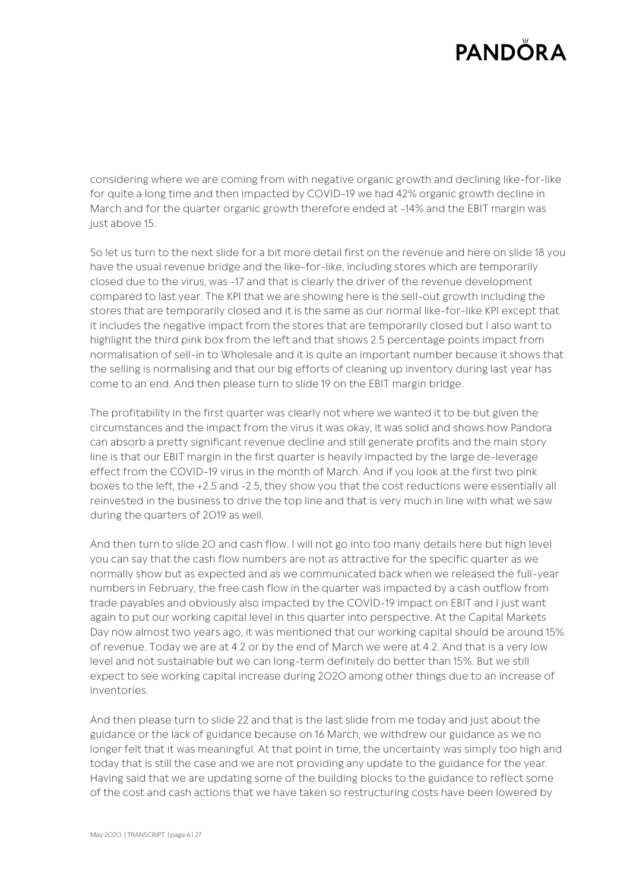considering where we are coming from with negative organic growth and declining like-for-like for quite a long time and then impacted by COVID-19 we had 42% organic growth decline in March and for the quarter organic growth therefore ended at -14% and the EBIT margin was just above 15.

So let us turn to the next slide for a bit more detail first on the revenue and here on slide 18 you have the usual revenue bridge and the like-for-like, including stores which are temporarily closed due to the virus, was -17 and that is clearly the driver of the revenue development compared to last year. The KPI that we are showing here is the sell-out growth including the stores that are temporarily closed and it is the same as our normal like-for-like KPI except that it includes the negative impact from the stores that are temporarily closed but I also want to highlight the third pink box from the left and that shows 2.5 percentage points impact from normalisation of sell-in to Wholesale and it is quite an important number because it shows that the selling is normalising and that our big efforts of cleaning up inventory during last year has come to an end. And then please turn to slide 19 on the EBIT margin bridge.

The profitability in the first quarter was clearly not where we wanted it to be but given the circumstances and the impact from the virus it was okay, it was solid and shows how Pandora can absorb a pretty significant revenue decline and still generate profits and the main story line is that our EBIT margin in the first quarter is heavily impacted by the large de-leverage effect from the COVID-19 virus in the month of March. And if you look at the first two pink boxes to the left, the +2.5 and -2.5, they show you that the cost reductions were essentially all reinvested in the business to drive the top line and that is very much in line with what we saw during the quarters of 2019 as well.

And then turn to slide 20 and cash flow. I will not go into too many details here but high level you can say that the cash flow numbers are not as attractive for the specific quarter as we normally show but as expected and as we communicated back when we released the full-year numbers in February, the free cash flow in the quarter was impacted by a cash outflow from trade payables and obviously also impacted by the COVID-19 impact on EBIT and I just want again to put our working capital level in this quarter into perspective. At the Capital Markets Day now almost two years ago, it was mentioned that our working capital should be around 15% of revenue. Today we are at 4.2 or by the end of March we were at 4.2. And that is a very low level and not sustainable but we can long-term definitely do better than 15%. But we still expect to see working capital increase during 2020 among other things due to an increase of inventories.

And then please turn to slide 22 and that is the last slide from me today and just about the guidance or the lack of guidance because on 16 March, we withdrew our guidance as we no longer felt that it was meaningful. At that point in time, the uncertainty was simply too high and today that is still the case and we are not providing any update to the guidance for the year. Having said that we are updating some of the building blocks to the guidance to reflect some of the cost and cash actions that we have taken so restructuring costs have been lowered by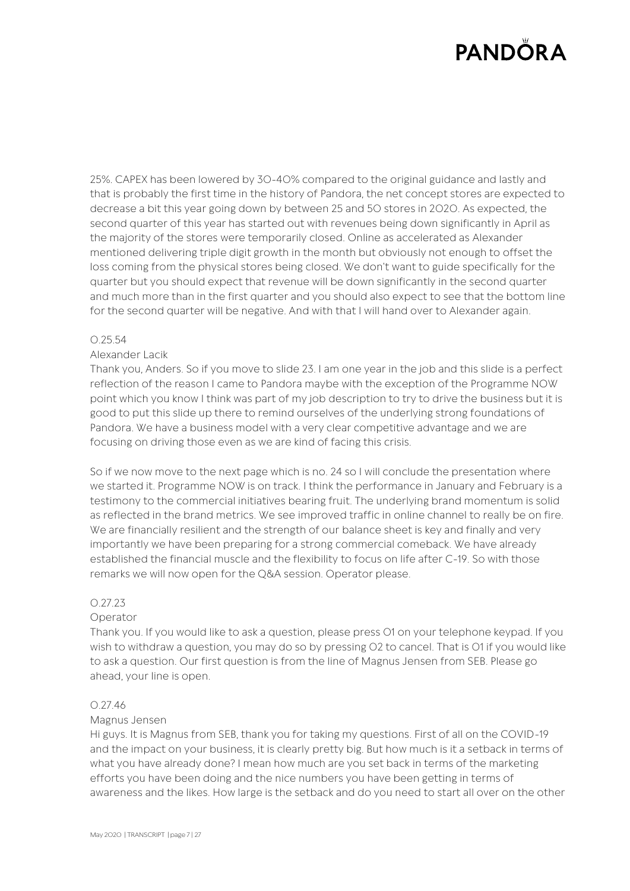25%. CAPEX has been lowered by 30-40% compared to the original guidance and lastly and that is probably the first time in the history of Pandora, the net concept stores are expected to decrease a bit this year going down by between 25 and 50 stores in 2020. As expected, the second quarter of this year has started out with revenues being down significantly in April as the majority of the stores were temporarily closed. Online as accelerated as Alexander mentioned delivering triple digit growth in the month but obviously not enough to offset the loss coming from the physical stores being closed. We don't want to guide specifically for the quarter but you should expect that revenue will be down significantly in the second quarter and much more than in the first quarter and you should also expect to see that the bottom line for the second quarter will be negative. And with that I will hand over to Alexander again.

#### 0.25.54

### Alexander Lacik

Thank you, Anders. So if you move to slide 23. I am one year in the job and this slide is a perfect reflection of the reason I came to Pandora maybe with the exception of the Programme NOW point which you know I think was part of my job description to try to drive the business but it is good to put this slide up there to remind ourselves of the underlying strong foundations of Pandora. We have a business model with a very clear competitive advantage and we are focusing on driving those even as we are kind of facing this crisis.

So if we now move to the next page which is no. 24 so I will conclude the presentation where we started it. Programme NOW is on track. I think the performance in January and February is a testimony to the commercial initiatives bearing fruit. The underlying brand momentum is solid as reflected in the brand metrics. We see improved traffic in online channel to really be on fire. We are financially resilient and the strength of our balance sheet is key and finally and very importantly we have been preparing for a strong commercial comeback. We have already established the financial muscle and the flexibility to focus on life after C-19. So with those remarks we will now open for the Q&A session. Operator please.

### 0.27.23

### Operator

Thank you. If you would like to ask a question, please press 01 on your telephone keypad. If you wish to withdraw a question, you may do so by pressing 02 to cancel. That is 01 if you would like to ask a question. Our first question is from the line of Magnus Jensen from SEB. Please go ahead, your line is open.

### 0.27.46

### Magnus Jensen

Hi guys. It is Magnus from SEB, thank you for taking my questions. First of all on the COVID-19 and the impact on your business, it is clearly pretty big. But how much is it a setback in terms of what you have already done? I mean how much are you set back in terms of the marketing efforts you have been doing and the nice numbers you have been getting in terms of awareness and the likes. How large is the setback and do you need to start all over on the other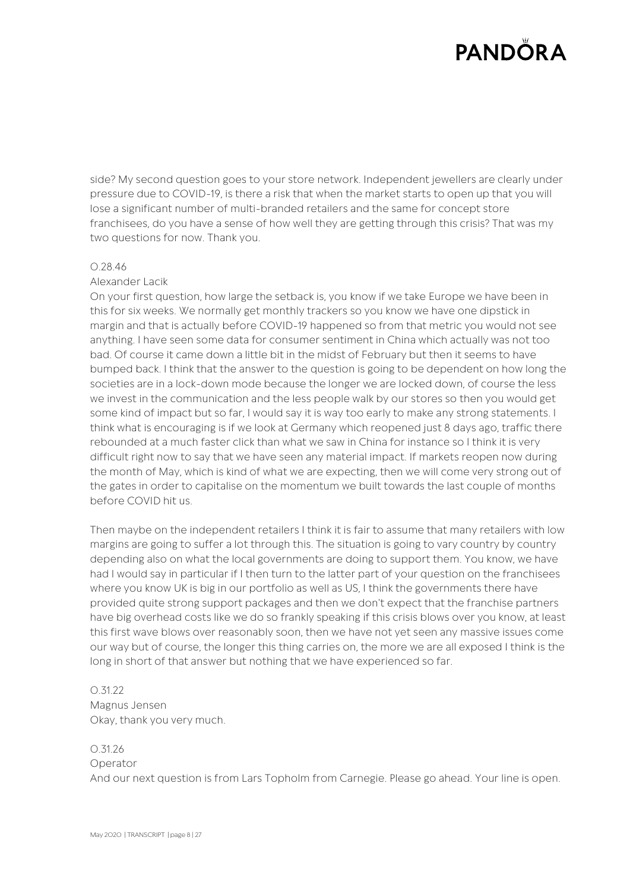side? My second question goes to your store network. Independent jewellers are clearly under pressure due to COVID-19, is there a risk that when the market starts to open up that you will lose a significant number of multi-branded retailers and the same for concept store franchisees, do you have a sense of how well they are getting through this crisis? That was my two questions for now. Thank you.

#### 0.28.46

### Alexander Lacik

On your first question, how large the setback is, you know if we take Europe we have been in this for six weeks. We normally get monthly trackers so you know we have one dipstick in margin and that is actually before COVID-19 happened so from that metric you would not see anything. I have seen some data for consumer sentiment in China which actually was not too bad. Of course it came down a little bit in the midst of February but then it seems to have bumped back. I think that the answer to the question is going to be dependent on how long the societies are in a lock-down mode because the longer we are locked down, of course the less we invest in the communication and the less people walk by our stores so then you would get some kind of impact but so far, I would say it is way too early to make any strong statements. I think what is encouraging is if we look at Germany which reopened just 8 days ago, traffic there rebounded at a much faster click than what we saw in China for instance so I think it is very difficult right now to say that we have seen any material impact. If markets reopen now during the month of May, which is kind of what we are expecting, then we will come very strong out of the gates in order to capitalise on the momentum we built towards the last couple of months before COVID hit us.

Then maybe on the independent retailers I think it is fair to assume that many retailers with low margins are going to suffer a lot through this. The situation is going to vary country by country depending also on what the local governments are doing to support them. You know, we have had I would say in particular if I then turn to the latter part of your question on the franchisees where you know UK is big in our portfolio as well as US, I think the governments there have provided quite strong support packages and then we don't expect that the franchise partners have big overhead costs like we do so frankly speaking if this crisis blows over you know, at least this first wave blows over reasonably soon, then we have not yet seen any massive issues come our way but of course, the longer this thing carries on, the more we are all exposed I think is the long in short of that answer but nothing that we have experienced so far.

0.31.22 Magnus Jensen Okay, thank you very much.

# 0.31.26

Operator And our next question is from Lars Topholm from Carnegie. Please go ahead. Your line is open.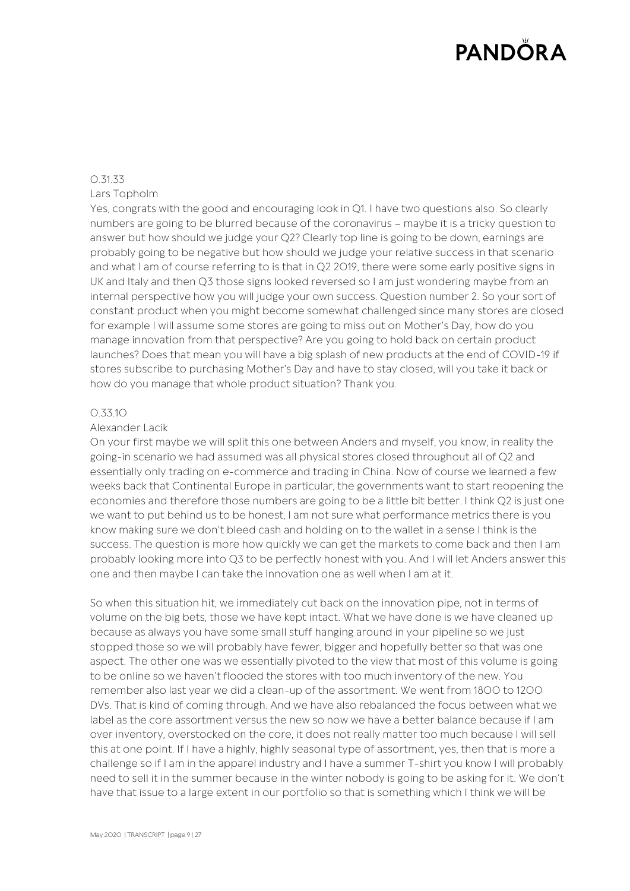### 0.31.33 Lars Topholm

Yes, congrats with the good and encouraging look in Q1. I have two questions also. So clearly numbers are going to be blurred because of the coronavirus – maybe it is a tricky question to answer but how should we judge your Q2? Clearly top line is going to be down, earnings are probably going to be negative but how should we judge your relative success in that scenario and what I am of course referring to is that in Q2 2019, there were some early positive signs in UK and Italy and then Q3 those signs looked reversed so I am just wondering maybe from an internal perspective how you will judge your own success. Question number 2. So your sort of constant product when you might become somewhat challenged since many stores are closed for example I will assume some stores are going to miss out on Mother's Day, how do you manage innovation from that perspective? Are you going to hold back on certain product launches? Does that mean you will have a big splash of new products at the end of COVID-19 if stores subscribe to purchasing Mother's Day and have to stay closed, will you take it back or how do you manage that whole product situation? Thank you.

## 0.33.10

## Alexander Lacik

On your first maybe we will split this one between Anders and myself, you know, in reality the going-in scenario we had assumed was all physical stores closed throughout all of Q2 and essentially only trading on e-commerce and trading in China. Now of course we learned a few weeks back that Continental Europe in particular, the governments want to start reopening the economies and therefore those numbers are going to be a little bit better. I think Q2 is just one we want to put behind us to be honest, I am not sure what performance metrics there is you know making sure we don't bleed cash and holding on to the wallet in a sense I think is the success. The question is more how quickly we can get the markets to come back and then I am probably looking more into Q3 to be perfectly honest with you. And I will let Anders answer this one and then maybe I can take the innovation one as well when I am at it.

So when this situation hit, we immediately cut back on the innovation pipe, not in terms of volume on the big bets, those we have kept intact. What we have done is we have cleaned up because as always you have some small stuff hanging around in your pipeline so we just stopped those so we will probably have fewer, bigger and hopefully better so that was one aspect. The other one was we essentially pivoted to the view that most of this volume is going to be online so we haven't flooded the stores with too much inventory of the new. You remember also last year we did a clean-up of the assortment. We went from 1800 to 1200 DVs. That is kind of coming through. And we have also rebalanced the focus between what we label as the core assortment versus the new so now we have a better balance because if I am over inventory, overstocked on the core, it does not really matter too much because I will sell this at one point. If I have a highly, highly seasonal type of assortment, yes, then that is more a challenge so if I am in the apparel industry and I have a summer T-shirt you know I will probably need to sell it in the summer because in the winter nobody is going to be asking for it. We don't have that issue to a large extent in our portfolio so that is something which I think we will be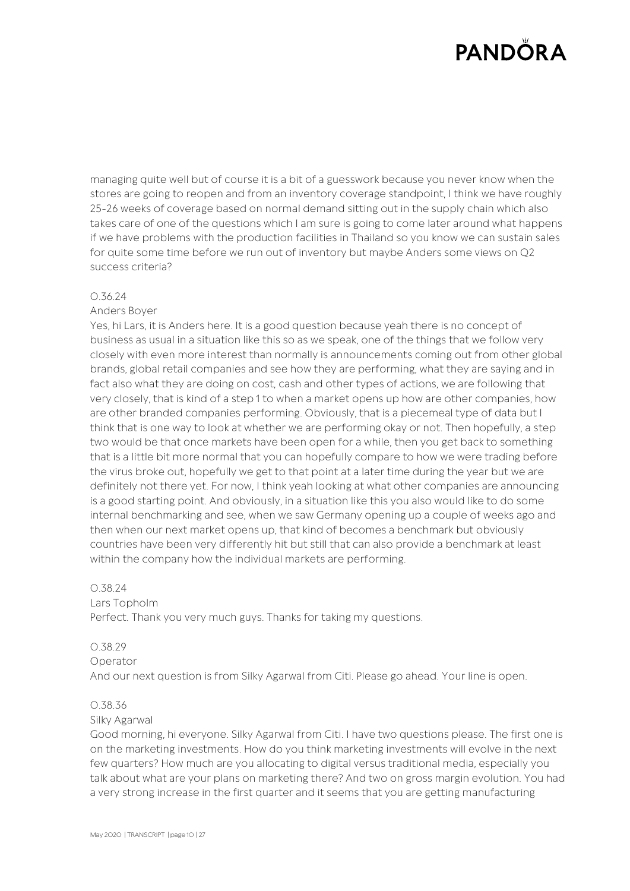managing quite well but of course it is a bit of a guesswork because you never know when the stores are going to reopen and from an inventory coverage standpoint, I think we have roughly 25-26 weeks of coverage based on normal demand sitting out in the supply chain which also takes care of one of the questions which I am sure is going to come later around what happens if we have problems with the production facilities in Thailand so you know we can sustain sales for quite some time before we run out of inventory but maybe Anders some views on Q2 success criteria?

#### 0.36.24

## Anders Boyer

Yes, hi Lars, it is Anders here. It is a good question because yeah there is no concept of business as usual in a situation like this so as we speak, one of the things that we follow very closely with even more interest than normally is announcements coming out from other global brands, global retail companies and see how they are performing, what they are saying and in fact also what they are doing on cost, cash and other types of actions, we are following that very closely, that is kind of a step 1 to when a market opens up how are other companies, how are other branded companies performing. Obviously, that is a piecemeal type of data but I think that is one way to look at whether we are performing okay or not. Then hopefully, a step two would be that once markets have been open for a while, then you get back to something that is a little bit more normal that you can hopefully compare to how we were trading before the virus broke out, hopefully we get to that point at a later time during the year but we are definitely not there yet. For now, I think yeah looking at what other companies are announcing is a good starting point. And obviously, in a situation like this you also would like to do some internal benchmarking and see, when we saw Germany opening up a couple of weeks ago and then when our next market opens up, that kind of becomes a benchmark but obviously countries have been very differently hit but still that can also provide a benchmark at least within the company how the individual markets are performing.

#### 0.38.24

#### Lars Topholm

Perfect. Thank you very much guys. Thanks for taking my questions.

### 0.38.29

Operator

And our next question is from Silky Agarwal from Citi. Please go ahead. Your line is open.

### 0.38.36

#### Silky Agarwal

Good morning, hi everyone. Silky Agarwal from Citi. I have two questions please. The first one is on the marketing investments. How do you think marketing investments will evolve in the next few quarters? How much are you allocating to digital versus traditional media, especially you talk about what are your plans on marketing there? And two on gross margin evolution. You had a very strong increase in the first quarter and it seems that you are getting manufacturing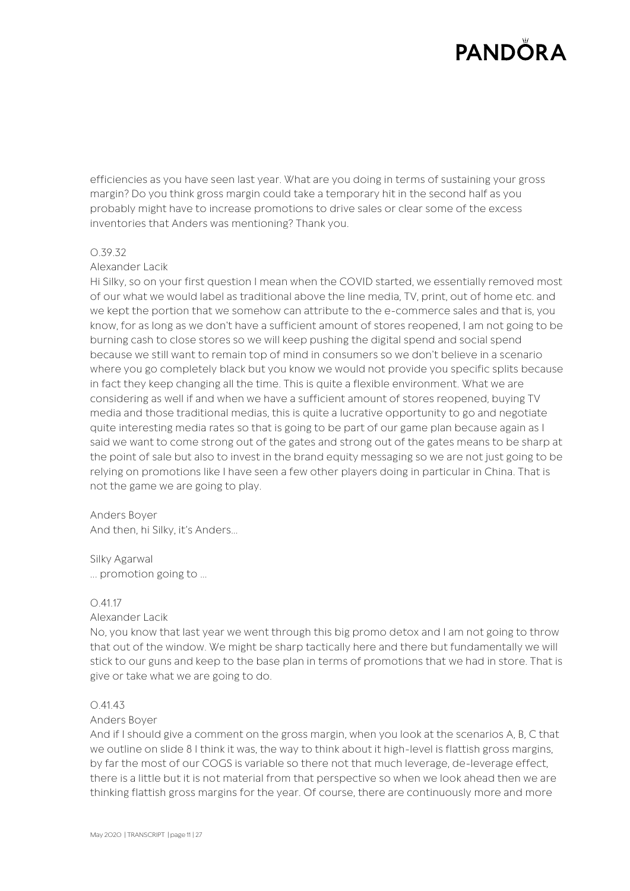efficiencies as you have seen last year. What are you doing in terms of sustaining your gross margin? Do you think gross margin could take a temporary hit in the second half as you probably might have to increase promotions to drive sales or clear some of the excess inventories that Anders was mentioning? Thank you.

### 0.39.32

## Alexander Lacik

Hi Silky, so on your first question I mean when the COVID started, we essentially removed most of our what we would label as traditional above the line media, TV, print, out of home etc. and we kept the portion that we somehow can attribute to the e-commerce sales and that is, you know, for as long as we don't have a sufficient amount of stores reopened, I am not going to be burning cash to close stores so we will keep pushing the digital spend and social spend because we still want to remain top of mind in consumers so we don't believe in a scenario where you go completely black but you know we would not provide you specific splits because in fact they keep changing all the time. This is quite a flexible environment. What we are considering as well if and when we have a sufficient amount of stores reopened, buying TV media and those traditional medias, this is quite a lucrative opportunity to go and negotiate quite interesting media rates so that is going to be part of our game plan because again as I said we want to come strong out of the gates and strong out of the gates means to be sharp at the point of sale but also to invest in the brand equity messaging so we are not just going to be relying on promotions like I have seen a few other players doing in particular in China. That is not the game we are going to play.

### Anders Boyer

And then, hi Silky, it's Anders…

#### Silky Agarwal

... promotion going to …

### 0.41.17

#### Alexander Lacik

No, you know that last year we went through this big promo detox and I am not going to throw that out of the window. We might be sharp tactically here and there but fundamentally we will stick to our guns and keep to the base plan in terms of promotions that we had in store. That is give or take what we are going to do.

### $0.4143$

#### Anders Boyer

And if I should give a comment on the gross margin, when you look at the scenarios A, B, C that we outline on slide 8 I think it was, the way to think about it high-level is flattish gross margins, by far the most of our COGS is variable so there not that much leverage, de-leverage effect, there is a little but it is not material from that perspective so when we look ahead then we are thinking flattish gross margins for the year. Of course, there are continuously more and more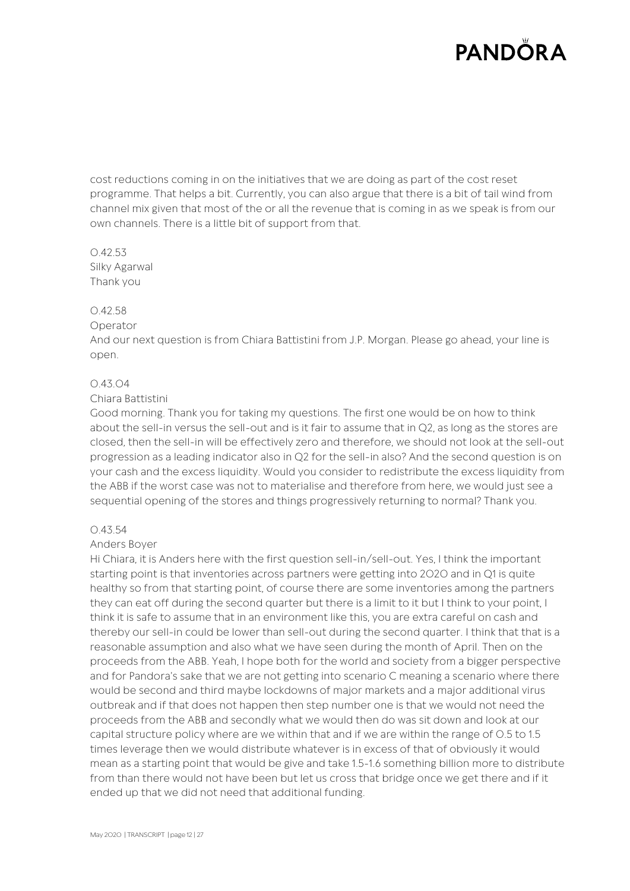cost reductions coming in on the initiatives that we are doing as part of the cost reset programme. That helps a bit. Currently, you can also argue that there is a bit of tail wind from channel mix given that most of the or all the revenue that is coming in as we speak is from our own channels. There is a little bit of support from that.

0.42.53 Silky Agarwal Thank you

### 0.42.58

#### Operator

And our next question is from Chiara Battistini from J.P. Morgan. Please go ahead, your line is open.

### 0.43.04

### Chiara Battistini

Good morning. Thank you for taking my questions. The first one would be on how to think about the sell-in versus the sell-out and is it fair to assume that in Q2, as long as the stores are closed, then the sell-in will be effectively zero and therefore, we should not look at the sell-out progression as a leading indicator also in Q2 for the sell-in also? And the second question is on your cash and the excess liquidity. Would you consider to redistribute the excess liquidity from the ABB if the worst case was not to materialise and therefore from here, we would just see a sequential opening of the stores and things progressively returning to normal? Thank you.

### 0.43.54

### Anders Boyer

Hi Chiara, it is Anders here with the first question sell-in/sell-out. Yes, I think the important starting point is that inventories across partners were getting into 2020 and in Q1 is quite healthy so from that starting point, of course there are some inventories among the partners they can eat off during the second quarter but there is a limit to it but I think to your point, I think it is safe to assume that in an environment like this, you are extra careful on cash and thereby our sell-in could be lower than sell-out during the second quarter. I think that that is a reasonable assumption and also what we have seen during the month of April. Then on the proceeds from the ABB. Yeah, I hope both for the world and society from a bigger perspective and for Pandora's sake that we are not getting into scenario C meaning a scenario where there would be second and third maybe lockdowns of major markets and a major additional virus outbreak and if that does not happen then step number one is that we would not need the proceeds from the ABB and secondly what we would then do was sit down and look at our capital structure policy where are we within that and if we are within the range of 0.5 to 1.5 times leverage then we would distribute whatever is in excess of that of obviously it would mean as a starting point that would be give and take 1.5-1.6 something billion more to distribute from than there would not have been but let us cross that bridge once we get there and if it ended up that we did not need that additional funding.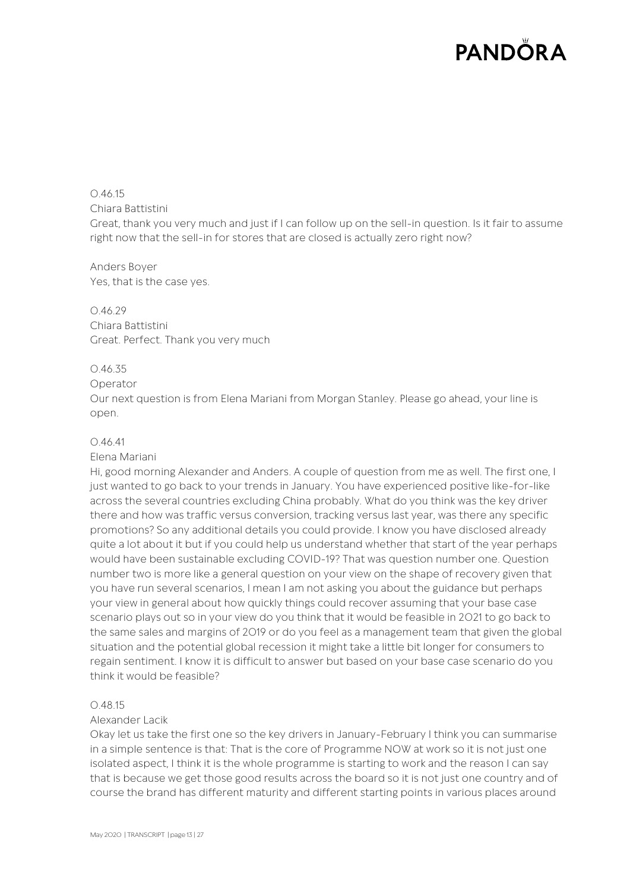0.46.15 Chiara Battistini Great, thank you very much and just if I can follow up on the sell-in question. Is it fair to assume right now that the sell-in for stores that are closed is actually zero right now?

Anders Boyer Yes, that is the case yes.

0.46.29 Chiara Battistini Great. Perfect. Thank you very much

## 0.46.35

### Operator

Our next question is from Elena Mariani from Morgan Stanley. Please go ahead, your line is open.

## 0.46.41

### Elena Mariani

Hi, good morning Alexander and Anders. A couple of question from me as well. The first one, I just wanted to go back to your trends in January. You have experienced positive like-for-like across the several countries excluding China probably. What do you think was the key driver there and how was traffic versus conversion, tracking versus last year, was there any specific promotions? So any additional details you could provide. I know you have disclosed already quite a lot about it but if you could help us understand whether that start of the year perhaps would have been sustainable excluding COVID-19? That was question number one. Question number two is more like a general question on your view on the shape of recovery given that you have run several scenarios, I mean I am not asking you about the guidance but perhaps your view in general about how quickly things could recover assuming that your base case scenario plays out so in your view do you think that it would be feasible in 2021 to go back to the same sales and margins of 2019 or do you feel as a management team that given the global situation and the potential global recession it might take a little bit longer for consumers to regain sentiment. I know it is difficult to answer but based on your base case scenario do you think it would be feasible?

### 0.48.15

### Alexander Lacik

Okay let us take the first one so the key drivers in January-February I think you can summarise in a simple sentence is that: That is the core of Programme NOW at work so it is not just one isolated aspect, I think it is the whole programme is starting to work and the reason I can say that is because we get those good results across the board so it is not just one country and of course the brand has different maturity and different starting points in various places around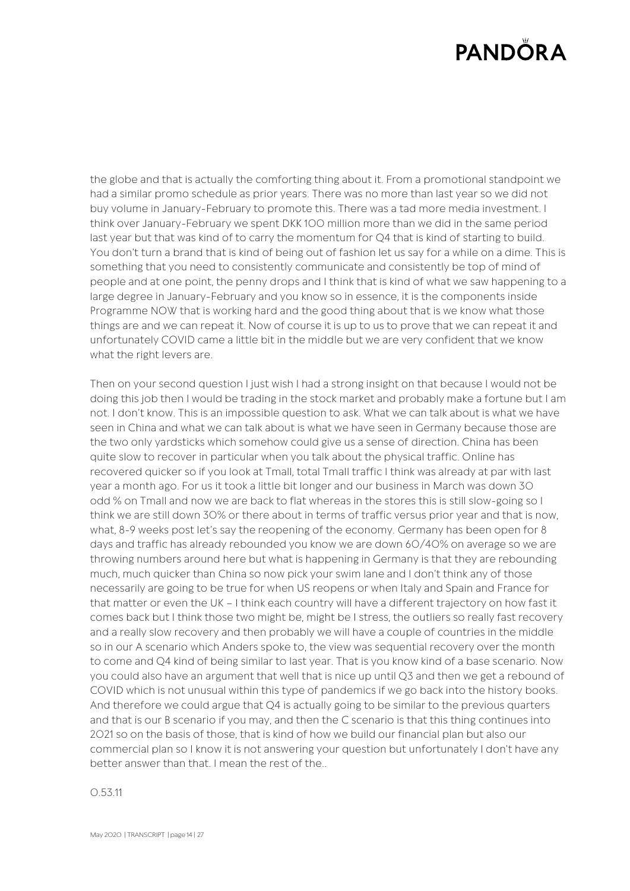the globe and that is actually the comforting thing about it. From a promotional standpoint we had a similar promo schedule as prior years. There was no more than last year so we did not buy volume in January-February to promote this. There was a tad more media investment. I think over January-February we spent DKK 100 million more than we did in the same period last year but that was kind of to carry the momentum for Q4 that is kind of starting to build. You don't turn a brand that is kind of being out of fashion let us say for a while on a dime. This is something that you need to consistently communicate and consistently be top of mind of people and at one point, the penny drops and I think that is kind of what we saw happening to a large degree in January-February and you know so in essence, it is the components inside Programme NOW that is working hard and the good thing about that is we know what those things are and we can repeat it. Now of course it is up to us to prove that we can repeat it and unfortunately COVID came a little bit in the middle but we are very confident that we know what the right levers are.

Then on your second question I just wish I had a strong insight on that because I would not be doing this job then I would be trading in the stock market and probably make a fortune but I am not. I don't know. This is an impossible question to ask. What we can talk about is what we have seen in China and what we can talk about is what we have seen in Germany because those are the two only yardsticks which somehow could give us a sense of direction. China has been quite slow to recover in particular when you talk about the physical traffic. Online has recovered quicker so if you look at Tmall, total Tmall traffic I think was already at par with last year a month ago. For us it took a little bit longer and our business in March was down 30 odd % on Tmall and now we are back to flat whereas in the stores this is still slow-going so I think we are still down 30% or there about in terms of traffic versus prior year and that is now, what, 8-9 weeks post let's say the reopening of the economy. Germany has been open for 8 days and traffic has already rebounded you know we are down 60/40% on average so we are throwing numbers around here but what is happening in Germany is that they are rebounding much, much quicker than China so now pick your swim lane and I don't think any of those necessarily are going to be true for when US reopens or when Italy and Spain and France for that matter or even the UK – I think each country will have a different trajectory on how fast it comes back but I think those two might be, might be I stress, the outliers so really fast recovery and a really slow recovery and then probably we will have a couple of countries in the middle so in our A scenario which Anders spoke to, the view was sequential recovery over the month to come and Q4 kind of being similar to last year. That is you know kind of a base scenario. Now you could also have an argument that well that is nice up until Q3 and then we get a rebound of COVID which is not unusual within this type of pandemics if we go back into the history books. And therefore we could argue that Q4 is actually going to be similar to the previous quarters and that is our B scenario if you may, and then the C scenario is that this thing continues into 2021 so on the basis of those, that is kind of how we build our financial plan but also our commercial plan so I know it is not answering your question but unfortunately I don't have any better answer than that. I mean the rest of the..

0.53.11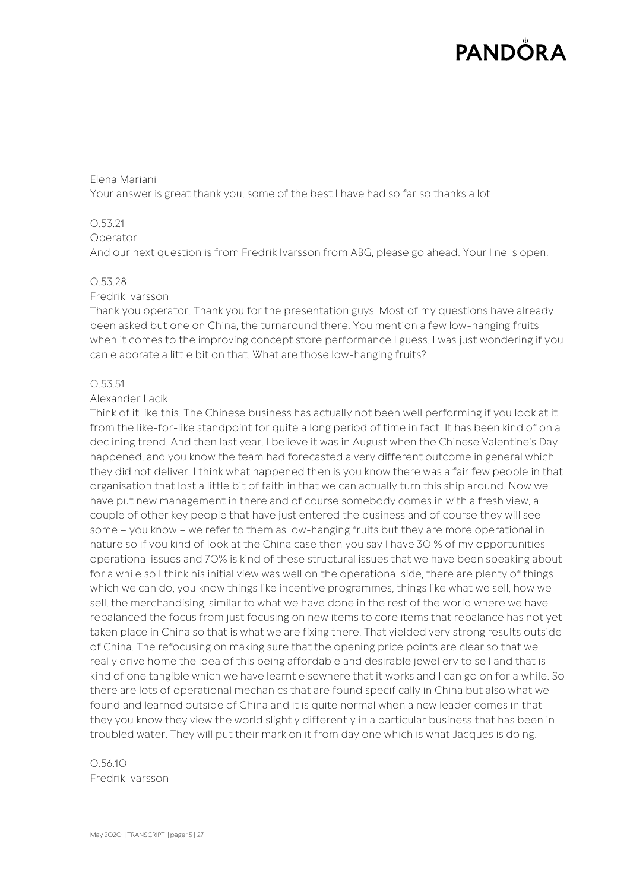### Elena Mariani

Your answer is great thank you, some of the best I have had so far so thanks a lot.

## 0.53.21

### Operator

And our next question is from Fredrik Ivarsson from ABG, please go ahead. Your line is open.

### 0.53.28

### Fredrik Ivarsson

Thank you operator. Thank you for the presentation guys. Most of my questions have already been asked but one on China, the turnaround there. You mention a few low-hanging fruits when it comes to the improving concept store performance I guess. I was just wondering if you can elaborate a little bit on that. What are those low-hanging fruits?

### 0.53.51

### Alexander Lacik

Think of it like this. The Chinese business has actually not been well performing if you look at it from the like-for-like standpoint for quite a long period of time in fact. It has been kind of on a declining trend. And then last year, I believe it was in August when the Chinese Valentine's Day happened, and you know the team had forecasted a very different outcome in general which they did not deliver. I think what happened then is you know there was a fair few people in that organisation that lost a little bit of faith in that we can actually turn this ship around. Now we have put new management in there and of course somebody comes in with a fresh view, a couple of other key people that have just entered the business and of course they will see some – you know – we refer to them as low-hanging fruits but they are more operational in nature so if you kind of look at the China case then you say I have 30 % of my opportunities operational issues and 70% is kind of these structural issues that we have been speaking about for a while so I think his initial view was well on the operational side, there are plenty of things which we can do, you know things like incentive programmes, things like what we sell, how we sell, the merchandising, similar to what we have done in the rest of the world where we have rebalanced the focus from just focusing on new items to core items that rebalance has not yet taken place in China so that is what we are fixing there. That yielded very strong results outside of China. The refocusing on making sure that the opening price points are clear so that we really drive home the idea of this being affordable and desirable jewellery to sell and that is kind of one tangible which we have learnt elsewhere that it works and I can go on for a while. So there are lots of operational mechanics that are found specifically in China but also what we found and learned outside of China and it is quite normal when a new leader comes in that they you know they view the world slightly differently in a particular business that has been in troubled water. They will put their mark on it from day one which is what Jacques is doing.

0.56.10 Fredrik Ivarsson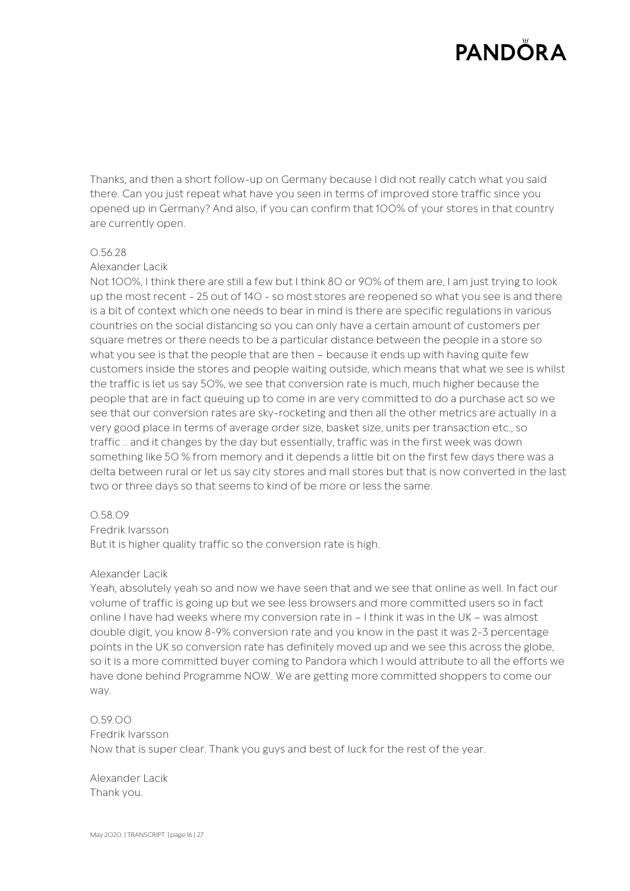Thanks, and then a short follow-up on Germany because I did not really catch what you said there. Can you just repeat what have you seen in terms of improved store traffic since you opened up in Germany? And also, if you can confirm that 100% of your stores in that country are currently open.

### 0.56.28

#### Alexander Lacik

Not 100%, I think there are still a few but I think 80 or 90% of them are, I am just trying to look up the most recent - 25 out of 140 - so most stores are reopened so what you see is and there is a bit of context which one needs to bear in mind is there are specific regulations in various countries on the social distancing so you can only have a certain amount of customers per square metres or there needs to be a particular distance between the people in a store so what you see is that the people that are then – because it ends up with having quite few customers inside the stores and people waiting outside, which means that what we see is whilst the traffic is let us say 50%, we see that conversion rate is much, much higher because the people that are in fact queuing up to come in are very committed to do a purchase act so we see that our conversion rates are sky-rocketing and then all the other metrics are actually in a very good place in terms of average order size, basket size, units per transaction etc., so traffic .. and it changes by the day but essentially, traffic was in the first week was down something like 50 % from memory and it depends a little bit on the first few days there was a delta between rural or let us say city stores and mall stores but that is now converted in the last two or three days so that seems to kind of be more or less the same.

#### 0.58.09

#### Fredrik Ivarsson

But it is higher quality traffic so the conversion rate is high.

#### Alexander Lacik

Yeah, absolutely yeah so and now we have seen that and we see that online as well. In fact our volume of traffic is going up but we see less browsers and more committed users so in fact online I have had weeks where my conversion rate in – I think it was in the UK – was almost double digit, you know 8-9% conversion rate and you know in the past it was 2-3 percentage points in the UK so conversion rate has definitely moved up and we see this across the globe, so it is a more committed buyer coming to Pandora which I would attribute to all the efforts we have done behind Programme NOW. We are getting more committed shoppers to come our way.

### 0.59.00

### Fredrik Ivarsson

Now that is super clear. Thank you guys and best of luck for the rest of the year.

Alexander Lacik Thank you.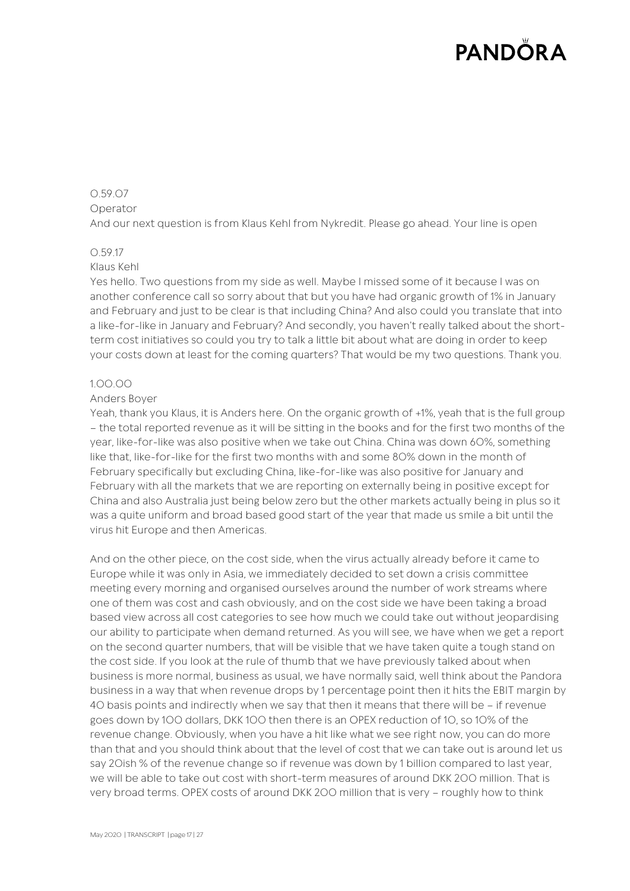### 0.59.07 Operator

And our next question is from Klaus Kehl from Nykredit. Please go ahead. Your line is open

# 0.59.17

## Klaus Kehl

Yes hello. Two questions from my side as well. Maybe I missed some of it because I was on another conference call so sorry about that but you have had organic growth of 1% in January and February and just to be clear is that including China? And also could you translate that into a like-for-like in January and February? And secondly, you haven't really talked about the shortterm cost initiatives so could you try to talk a little bit about what are doing in order to keep your costs down at least for the coming quarters? That would be my two questions. Thank you.

## 1.00.00

### Anders Boyer

Yeah, thank you Klaus, it is Anders here. On the organic growth of +1%, yeah that is the full group – the total reported revenue as it will be sitting in the books and for the first two months of the year, like-for-like was also positive when we take out China. China was down 60%, something like that, like-for-like for the first two months with and some 80% down in the month of February specifically but excluding China, like-for-like was also positive for January and February with all the markets that we are reporting on externally being in positive except for China and also Australia just being below zero but the other markets actually being in plus so it was a quite uniform and broad based good start of the year that made us smile a bit until the virus hit Europe and then Americas.

And on the other piece, on the cost side, when the virus actually already before it came to Europe while it was only in Asia, we immediately decided to set down a crisis committee meeting every morning and organised ourselves around the number of work streams where one of them was cost and cash obviously, and on the cost side we have been taking a broad based view across all cost categories to see how much we could take out without jeopardising our ability to participate when demand returned. As you will see, we have when we get a report on the second quarter numbers, that will be visible that we have taken quite a tough stand on the cost side. If you look at the rule of thumb that we have previously talked about when business is more normal, business as usual, we have normally said, well think about the Pandora business in a way that when revenue drops by 1 percentage point then it hits the EBIT margin by 40 basis points and indirectly when we say that then it means that there will be – if revenue goes down by 100 dollars, DKK 100 then there is an OPEX reduction of 10, so 10% of the revenue change. Obviously, when you have a hit like what we see right now, you can do more than that and you should think about that the level of cost that we can take out is around let us say 20ish % of the revenue change so if revenue was down by 1 billion compared to last year, we will be able to take out cost with short-term measures of around DKK 200 million. That is very broad terms. OPEX costs of around DKK 200 million that is very – roughly how to think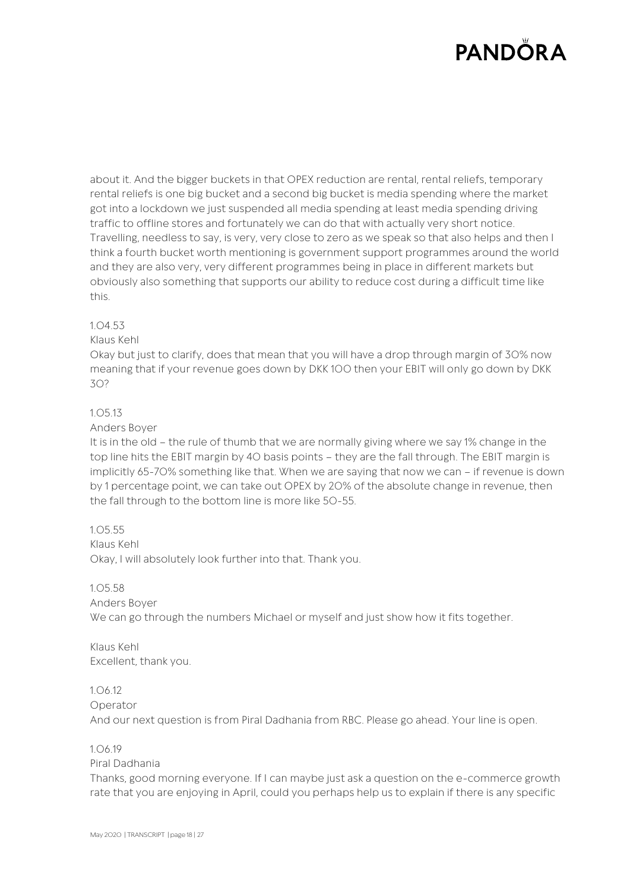about it. And the bigger buckets in that OPEX reduction are rental, rental reliefs, temporary rental reliefs is one big bucket and a second big bucket is media spending where the market got into a lockdown we just suspended all media spending at least media spending driving traffic to offline stores and fortunately we can do that with actually very short notice. Travelling, needless to say, is very, very close to zero as we speak so that also helps and then I think a fourth bucket worth mentioning is government support programmes around the world and they are also very, very different programmes being in place in different markets but obviously also something that supports our ability to reduce cost during a difficult time like this.

## 1.04.53

## Klaus Kehl

Okay but just to clarify, does that mean that you will have a drop through margin of 30% now meaning that if your revenue goes down by DKK 100 then your EBIT will only go down by DKK 30?

# 1.05.13

## Anders Boyer

It is in the old – the rule of thumb that we are normally giving where we say 1% change in the top line hits the EBIT margin by 40 basis points – they are the fall through. The EBIT margin is implicitly 65-70% something like that. When we are saying that now we can – if revenue is down by 1 percentage point, we can take out OPEX by 20% of the absolute change in revenue, then the fall through to the bottom line is more like 50-55.

# 1.05.55

Klaus Kehl Okay, I will absolutely look further into that. Thank you.

### 1.05.58

### Anders Boyer

We can go through the numbers Michael or myself and just show how it fits together.

Klaus Kehl Excellent, thank you.

# 1.06.12

### Operator

And our next question is from Piral Dadhania from RBC. Please go ahead. Your line is open.

### 1.06.19

### Piral Dadhania

Thanks, good morning everyone. If I can maybe just ask a question on the e-commerce growth rate that you are enjoying in April, could you perhaps help us to explain if there is any specific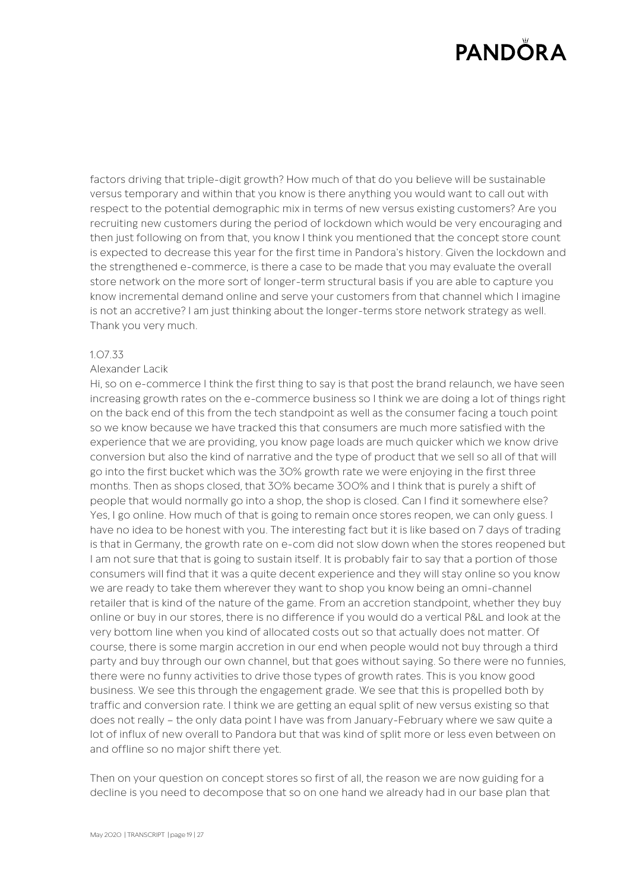factors driving that triple-digit growth? How much of that do you believe will be sustainable versus temporary and within that you know is there anything you would want to call out with respect to the potential demographic mix in terms of new versus existing customers? Are you recruiting new customers during the period of lockdown which would be very encouraging and then just following on from that, you know I think you mentioned that the concept store count is expected to decrease this year for the first time in Pandora's history. Given the lockdown and the strengthened e-commerce, is there a case to be made that you may evaluate the overall store network on the more sort of longer-term structural basis if you are able to capture you know incremental demand online and serve your customers from that channel which I imagine is not an accretive? I am just thinking about the longer-terms store network strategy as well. Thank you very much.

### 1.07.33

#### Alexander Lacik

Hi, so on e-commerce I think the first thing to say is that post the brand relaunch, we have seen increasing growth rates on the e-commerce business so I think we are doing a lot of things right on the back end of this from the tech standpoint as well as the consumer facing a touch point so we know because we have tracked this that consumers are much more satisfied with the experience that we are providing, you know page loads are much quicker which we know drive conversion but also the kind of narrative and the type of product that we sell so all of that will go into the first bucket which was the 30% growth rate we were enjoying in the first three months. Then as shops closed, that 30% became 300% and I think that is purely a shift of people that would normally go into a shop, the shop is closed. Can I find it somewhere else? Yes, I go online. How much of that is going to remain once stores reopen, we can only guess. I have no idea to be honest with you. The interesting fact but it is like based on 7 days of trading is that in Germany, the growth rate on e-com did not slow down when the stores reopened but I am not sure that that is going to sustain itself. It is probably fair to say that a portion of those consumers will find that it was a quite decent experience and they will stay online so you know we are ready to take them wherever they want to shop you know being an omni-channel retailer that is kind of the nature of the game. From an accretion standpoint, whether they buy online or buy in our stores, there is no difference if you would do a vertical P&L and look at the very bottom line when you kind of allocated costs out so that actually does not matter. Of course, there is some margin accretion in our end when people would not buy through a third party and buy through our own channel, but that goes without saying. So there were no funnies, there were no funny activities to drive those types of growth rates. This is you know good business. We see this through the engagement grade. We see that this is propelled both by traffic and conversion rate. I think we are getting an equal split of new versus existing so that does not really – the only data point I have was from January-February where we saw quite a lot of influx of new overall to Pandora but that was kind of split more or less even between on and offline so no major shift there yet.

Then on your question on concept stores so first of all, the reason we are now guiding for a decline is you need to decompose that so on one hand we already had in our base plan that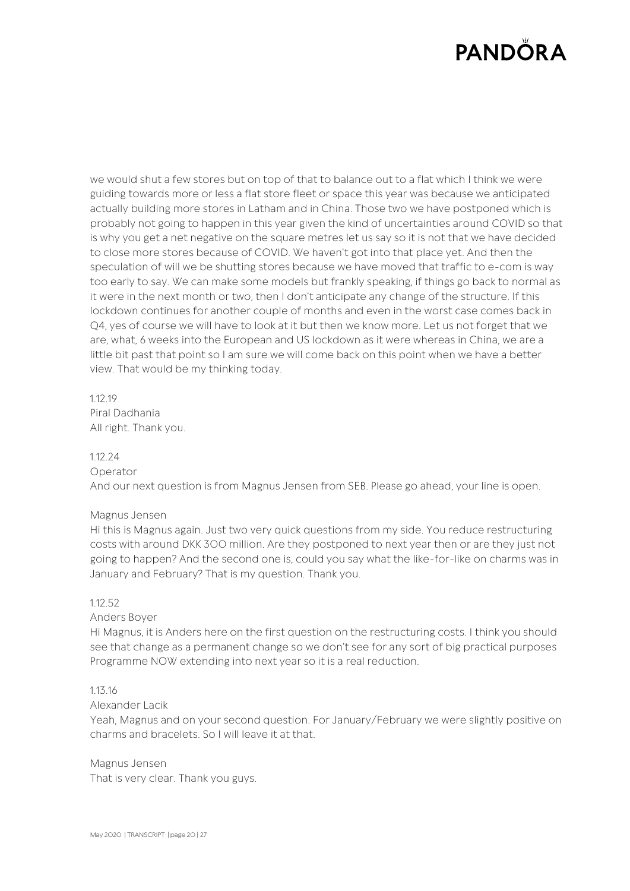we would shut a few stores but on top of that to balance out to a flat which I think we were guiding towards more or less a flat store fleet or space this year was because we anticipated actually building more stores in Latham and in China. Those two we have postponed which is probably not going to happen in this year given the kind of uncertainties around COVID so that is why you get a net negative on the square metres let us say so it is not that we have decided to close more stores because of COVID. We haven't got into that place yet. And then the speculation of will we be shutting stores because we have moved that traffic to e-com is way too early to say. We can make some models but frankly speaking, if things go back to normal as it were in the next month or two, then I don't anticipate any change of the structure. If this lockdown continues for another couple of months and even in the worst case comes back in Q4, yes of course we will have to look at it but then we know more. Let us not forget that we are, what, 6 weeks into the European and US lockdown as it were whereas in China, we are a little bit past that point so I am sure we will come back on this point when we have a better view. That would be my thinking today.

1.12.19 Piral Dadhania All right. Thank you.

1.12.24

Operator

And our next question is from Magnus Jensen from SEB. Please go ahead, your line is open.

### Magnus Jensen

Hi this is Magnus again. Just two very quick questions from my side. You reduce restructuring costs with around DKK 300 million. Are they postponed to next year then or are they just not going to happen? And the second one is, could you say what the like-for-like on charms was in January and February? That is my question. Thank you.

### 1.12.52

Anders Boyer

Hi Magnus, it is Anders here on the first question on the restructuring costs. I think you should see that change as a permanent change so we don't see for any sort of big practical purposes Programme NOW extending into next year so it is a real reduction.

### 1.13.16

#### Alexander Lacik

Yeah, Magnus and on your second question. For January/February we were slightly positive on charms and bracelets. So I will leave it at that.

Magnus Jensen That is very clear. Thank you guys.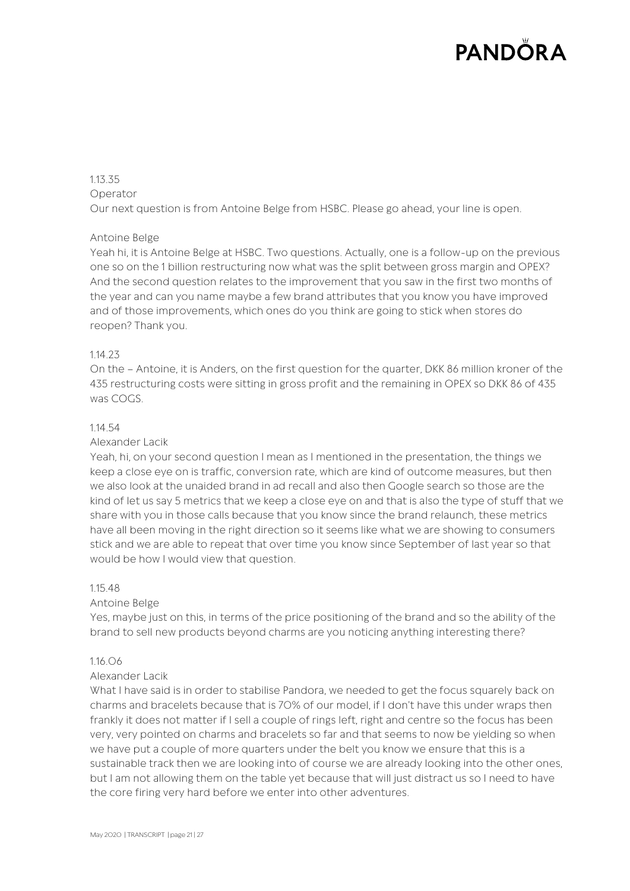#### 1.13.35 Operator

Our next question is from Antoine Belge from HSBC. Please go ahead, your line is open.

# Antoine Belge

Yeah hi, it is Antoine Belge at HSBC. Two questions. Actually, one is a follow-up on the previous one so on the 1 billion restructuring now what was the split between gross margin and OPEX? And the second question relates to the improvement that you saw in the first two months of the year and can you name maybe a few brand attributes that you know you have improved and of those improvements, which ones do you think are going to stick when stores do reopen? Thank you.

# 1.14.23

On the – Antoine, it is Anders, on the first question for the quarter, DKK 86 million kroner of the 435 restructuring costs were sitting in gross profit and the remaining in OPEX so DKK 86 of 435 was COGS.

## 1.14.54

### Alexander Lacik

Yeah, hi, on your second question I mean as I mentioned in the presentation, the things we keep a close eye on is traffic, conversion rate, which are kind of outcome measures, but then we also look at the unaided brand in ad recall and also then Google search so those are the kind of let us say 5 metrics that we keep a close eye on and that is also the type of stuff that we share with you in those calls because that you know since the brand relaunch, these metrics have all been moving in the right direction so it seems like what we are showing to consumers stick and we are able to repeat that over time you know since September of last year so that would be how I would view that question.

### 1.15.48

# Antoine Belge

Yes, maybe just on this, in terms of the price positioning of the brand and so the ability of the brand to sell new products beyond charms are you noticing anything interesting there?

### 1.16.06

### Alexander Lacik

What I have said is in order to stabilise Pandora, we needed to get the focus squarely back on charms and bracelets because that is 70% of our model, if I don't have this under wraps then frankly it does not matter if I sell a couple of rings left, right and centre so the focus has been very, very pointed on charms and bracelets so far and that seems to now be yielding so when we have put a couple of more quarters under the belt you know we ensure that this is a sustainable track then we are looking into of course we are already looking into the other ones, but I am not allowing them on the table yet because that will just distract us so I need to have the core firing very hard before we enter into other adventures.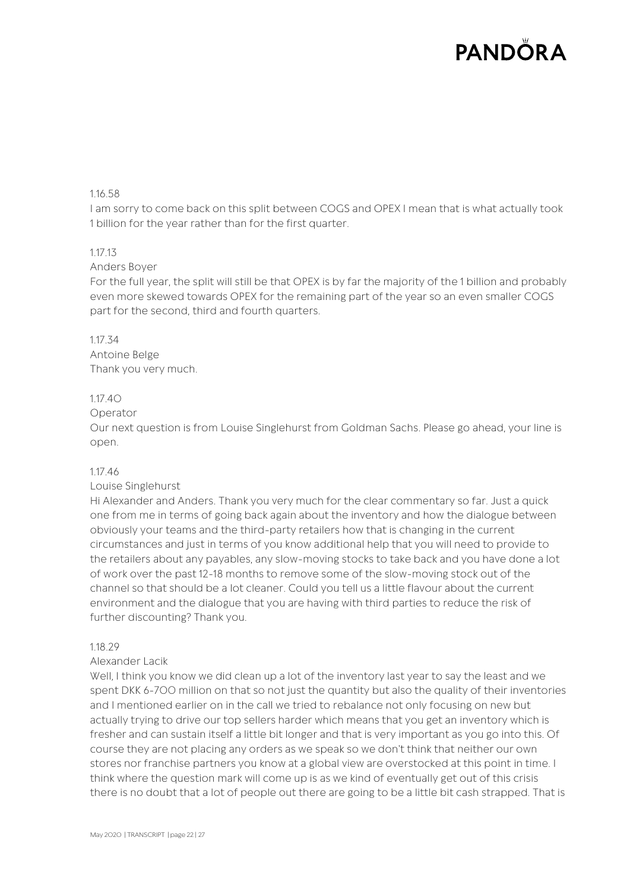## 1.16.58

I am sorry to come back on this split between COGS and OPEX I mean that is what actually took 1 billion for the year rather than for the first quarter.

### 1.17.13

#### Anders Boyer

For the full year, the split will still be that OPEX is by far the majority of the 1 billion and probably even more skewed towards OPEX for the remaining part of the year so an even smaller COGS part for the second, third and fourth quarters.

### 1.17.34

Antoine Belge Thank you very much.

#### 1.17.40

#### Operator

Our next question is from Louise Singlehurst from Goldman Sachs. Please go ahead, your line is open.

### 1.17.46

### Louise Singlehurst

Hi Alexander and Anders. Thank you very much for the clear commentary so far. Just a quick one from me in terms of going back again about the inventory and how the dialogue between obviously your teams and the third-party retailers how that is changing in the current circumstances and just in terms of you know additional help that you will need to provide to the retailers about any payables, any slow-moving stocks to take back and you have done a lot of work over the past 12-18 months to remove some of the slow-moving stock out of the channel so that should be a lot cleaner. Could you tell us a little flavour about the current environment and the dialogue that you are having with third parties to reduce the risk of further discounting? Thank you.

### 1.18.29

### Alexander Lacik

Well, I think you know we did clean up a lot of the inventory last year to say the least and we spent DKK 6-700 million on that so not just the quantity but also the quality of their inventories and I mentioned earlier on in the call we tried to rebalance not only focusing on new but actually trying to drive our top sellers harder which means that you get an inventory which is fresher and can sustain itself a little bit longer and that is very important as you go into this. Of course they are not placing any orders as we speak so we don't think that neither our own stores nor franchise partners you know at a global view are overstocked at this point in time. I think where the question mark will come up is as we kind of eventually get out of this crisis there is no doubt that a lot of people out there are going to be a little bit cash strapped. That is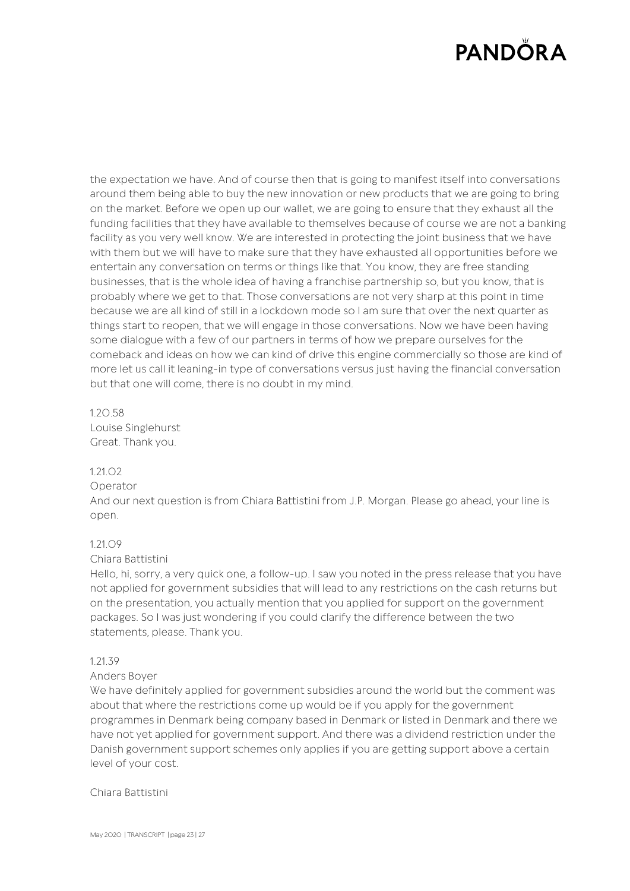the expectation we have. And of course then that is going to manifest itself into conversations around them being able to buy the new innovation or new products that we are going to bring on the market. Before we open up our wallet, we are going to ensure that they exhaust all the funding facilities that they have available to themselves because of course we are not a banking facility as you very well know. We are interested in protecting the joint business that we have with them but we will have to make sure that they have exhausted all opportunities before we entertain any conversation on terms or things like that. You know, they are free standing businesses, that is the whole idea of having a franchise partnership so, but you know, that is probably where we get to that. Those conversations are not very sharp at this point in time because we are all kind of still in a lockdown mode so I am sure that over the next quarter as things start to reopen, that we will engage in those conversations. Now we have been having some dialogue with a few of our partners in terms of how we prepare ourselves for the comeback and ideas on how we can kind of drive this engine commercially so those are kind of more let us call it leaning-in type of conversations versus just having the financial conversation but that one will come, there is no doubt in my mind.

# 1.20.58 Louise Singlehurst Great. Thank you.

### 1.21.02

### Operator

And our next question is from Chiara Battistini from J.P. Morgan. Please go ahead, your line is open.

### 1.21.09

### Chiara Battistini

Hello, hi, sorry, a very quick one, a follow-up. I saw you noted in the press release that you have not applied for government subsidies that will lead to any restrictions on the cash returns but on the presentation, you actually mention that you applied for support on the government packages. So I was just wondering if you could clarify the difference between the two statements, please. Thank you.

### 1.21.39

### Anders Boyer

We have definitely applied for government subsidies around the world but the comment was about that where the restrictions come up would be if you apply for the government programmes in Denmark being company based in Denmark or listed in Denmark and there we have not yet applied for government support. And there was a dividend restriction under the Danish government support schemes only applies if you are getting support above a certain level of your cost.

### Chiara Battistini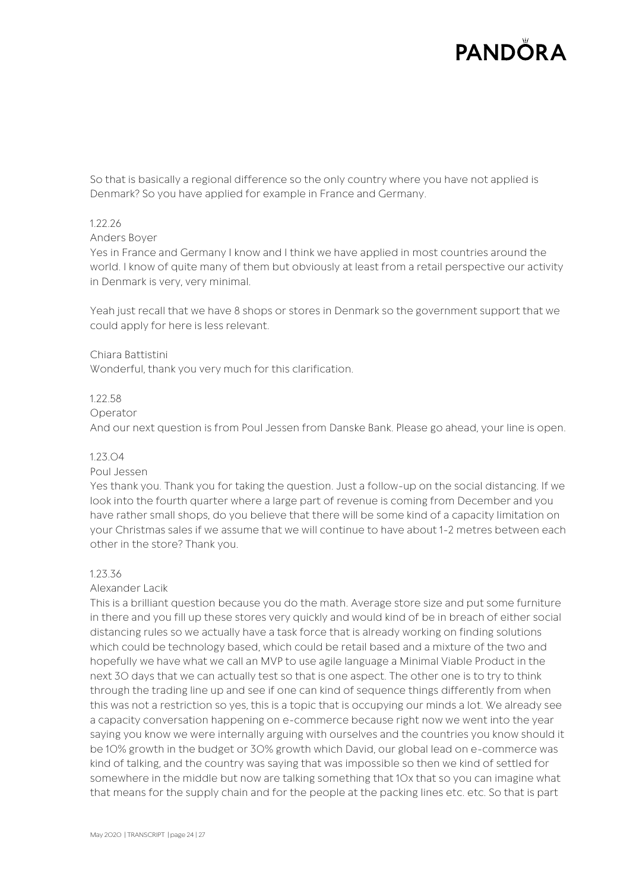So that is basically a regional difference so the only country where you have not applied is Denmark? So you have applied for example in France and Germany.

### 1.22.26

#### Anders Boyer

Yes in France and Germany I know and I think we have applied in most countries around the world. I know of quite many of them but obviously at least from a retail perspective our activity in Denmark is very, very minimal.

Yeah just recall that we have 8 shops or stores in Denmark so the government support that we could apply for here is less relevant.

### Chiara Battistini

Wonderful, thank you very much for this clarification.

#### 1.22.58

#### Operator

And our next question is from Poul Jessen from Danske Bank. Please go ahead, your line is open.

#### 1.23.04

#### Poul Jessen

Yes thank you. Thank you for taking the question. Just a follow-up on the social distancing. If we look into the fourth quarter where a large part of revenue is coming from December and you have rather small shops, do you believe that there will be some kind of a capacity limitation on your Christmas sales if we assume that we will continue to have about 1-2 metres between each other in the store? Thank you.

#### 1.23.36

#### Alexander Lacik

This is a brilliant question because you do the math. Average store size and put some furniture in there and you fill up these stores very quickly and would kind of be in breach of either social distancing rules so we actually have a task force that is already working on finding solutions which could be technology based, which could be retail based and a mixture of the two and hopefully we have what we call an MVP to use agile language a Minimal Viable Product in the next 30 days that we can actually test so that is one aspect. The other one is to try to think through the trading line up and see if one can kind of sequence things differently from when this was not a restriction so yes, this is a topic that is occupying our minds a lot. We already see a capacity conversation happening on e-commerce because right now we went into the year saying you know we were internally arguing with ourselves and the countries you know should it be 10% growth in the budget or 30% growth which David, our global lead on e-commerce was kind of talking, and the country was saying that was impossible so then we kind of settled for somewhere in the middle but now are talking something that 10x that so you can imagine what that means for the supply chain and for the people at the packing lines etc. etc. So that is part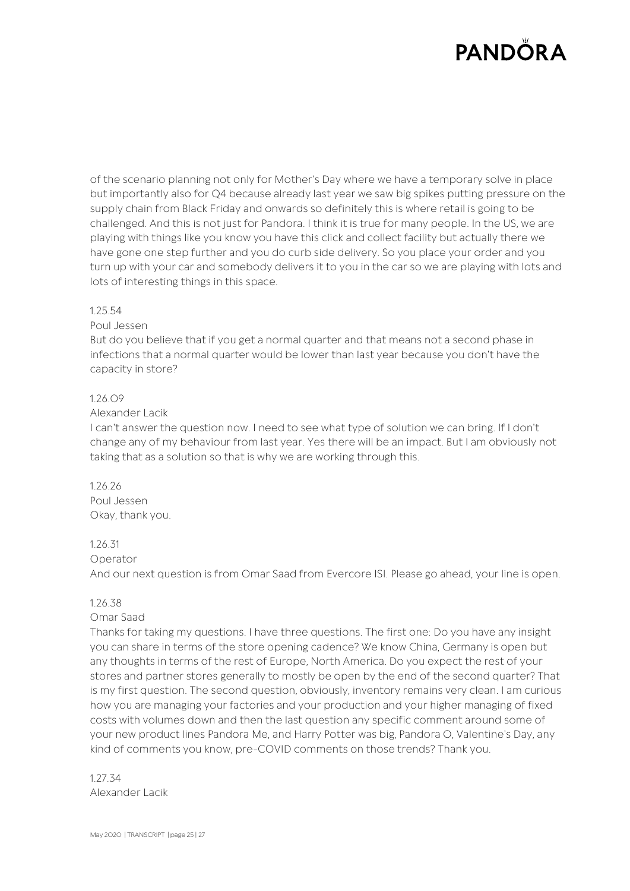of the scenario planning not only for Mother's Day where we have a temporary solve in place but importantly also for Q4 because already last year we saw big spikes putting pressure on the supply chain from Black Friday and onwards so definitely this is where retail is going to be challenged. And this is not just for Pandora. I think it is true for many people. In the US, we are playing with things like you know you have this click and collect facility but actually there we have gone one step further and you do curb side delivery. So you place your order and you turn up with your car and somebody delivers it to you in the car so we are playing with lots and lots of interesting things in this space.

#### 1.25.54

#### Poul Jessen

But do you believe that if you get a normal quarter and that means not a second phase in infections that a normal quarter would be lower than last year because you don't have the capacity in store?

#### 1.26.09

#### Alexander Lacik

I can't answer the question now. I need to see what type of solution we can bring. If I don't change any of my behaviour from last year. Yes there will be an impact. But I am obviously not taking that as a solution so that is why we are working through this.

1.26.26 Poul Jessen Okay, thank you.

### 1.26.31

#### Operator

And our next question is from Omar Saad from Evercore ISI. Please go ahead, your line is open.

#### 1.26.38

#### Omar Saad

Thanks for taking my questions. I have three questions. The first one: Do you have any insight you can share in terms of the store opening cadence? We know China, Germany is open but any thoughts in terms of the rest of Europe, North America. Do you expect the rest of your stores and partner stores generally to mostly be open by the end of the second quarter? That is my first question. The second question, obviously, inventory remains very clean. I am curious how you are managing your factories and your production and your higher managing of fixed costs with volumes down and then the last question any specific comment around some of your new product lines Pandora Me, and Harry Potter was big, Pandora O, Valentine's Day, any kind of comments you know, pre-COVID comments on those trends? Thank you.

1.27.34 Alexander Lacik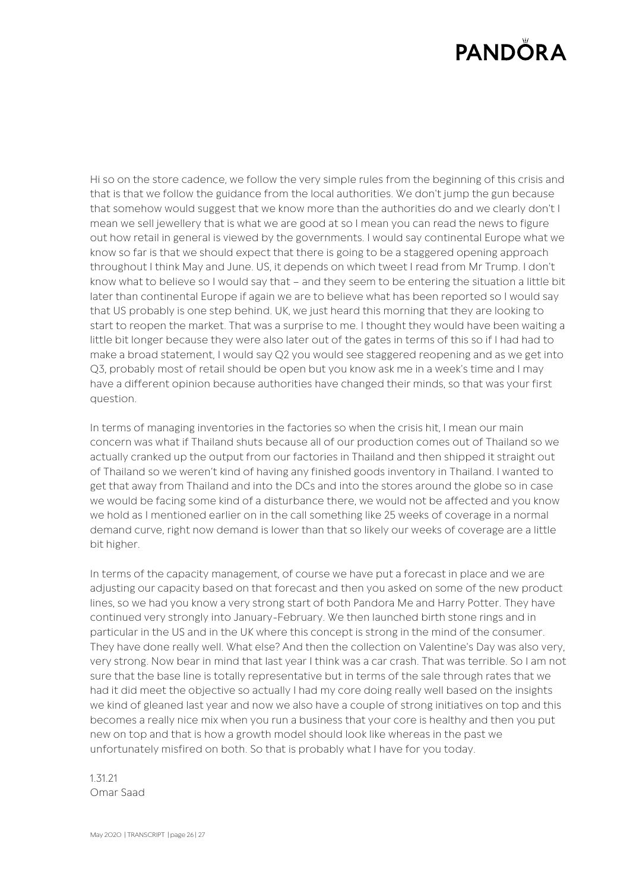Hi so on the store cadence, we follow the very simple rules from the beginning of this crisis and that is that we follow the guidance from the local authorities. We don't jump the gun because that somehow would suggest that we know more than the authorities do and we clearly don't I mean we sell jewellery that is what we are good at so I mean you can read the news to figure out how retail in general is viewed by the governments. I would say continental Europe what we know so far is that we should expect that there is going to be a staggered opening approach throughout I think May and June. US, it depends on which tweet I read from Mr Trump. I don't know what to believe so I would say that – and they seem to be entering the situation a little bit later than continental Europe if again we are to believe what has been reported so I would say that US probably is one step behind. UK, we just heard this morning that they are looking to start to reopen the market. That was a surprise to me. I thought they would have been waiting a little bit longer because they were also later out of the gates in terms of this so if I had had to make a broad statement, I would say Q2 you would see staggered reopening and as we get into Q3, probably most of retail should be open but you know ask me in a week's time and I may have a different opinion because authorities have changed their minds, so that was your first question.

In terms of managing inventories in the factories so when the crisis hit, I mean our main concern was what if Thailand shuts because all of our production comes out of Thailand so we actually cranked up the output from our factories in Thailand and then shipped it straight out of Thailand so we weren't kind of having any finished goods inventory in Thailand. I wanted to get that away from Thailand and into the DCs and into the stores around the globe so in case we would be facing some kind of a disturbance there, we would not be affected and you know we hold as I mentioned earlier on in the call something like 25 weeks of coverage in a normal demand curve, right now demand is lower than that so likely our weeks of coverage are a little bit higher.

In terms of the capacity management, of course we have put a forecast in place and we are adjusting our capacity based on that forecast and then you asked on some of the new product lines, so we had you know a very strong start of both Pandora Me and Harry Potter. They have continued very strongly into January-February. We then launched birth stone rings and in particular in the US and in the UK where this concept is strong in the mind of the consumer. They have done really well. What else? And then the collection on Valentine's Day was also very, very strong. Now bear in mind that last year I think was a car crash. That was terrible. So I am not sure that the base line is totally representative but in terms of the sale through rates that we had it did meet the objective so actually I had my core doing really well based on the insights we kind of gleaned last year and now we also have a couple of strong initiatives on top and this becomes a really nice mix when you run a business that your core is healthy and then you put new on top and that is how a growth model should look like whereas in the past we unfortunately misfired on both. So that is probably what I have for you today.

1.31.21 Omar Saad